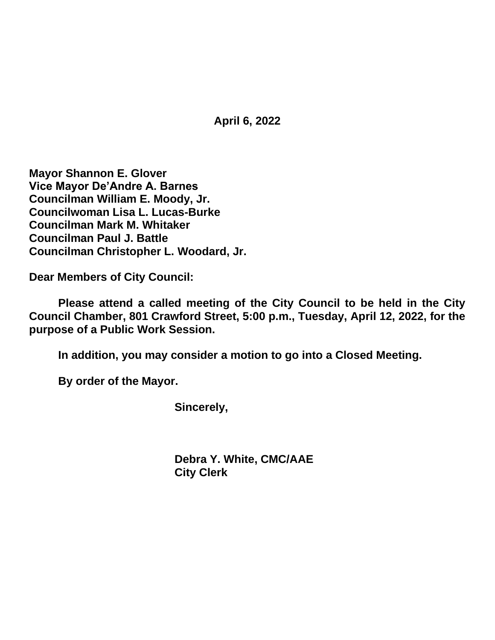**April 6, 2022**

**Mayor Shannon E. Glover Vice Mayor De'Andre A. Barnes Councilman William E. Moody, Jr. Councilwoman Lisa L. Lucas-Burke Councilman Mark M. Whitaker Councilman Paul J. Battle Councilman Christopher L. Woodard, Jr.**

**Dear Members of City Council:**

**Please attend a called meeting of the City Council to be held in the City Council Chamber, 801 Crawford Street, 5:00 p.m., Tuesday, April 12, 2022, for the purpose of a Public Work Session.**

**In addition, you may consider a motion to go into a Closed Meeting.**

**By order of the Mayor.**

**Sincerely,**

**Debra Y. White, CMC/AAE City Clerk**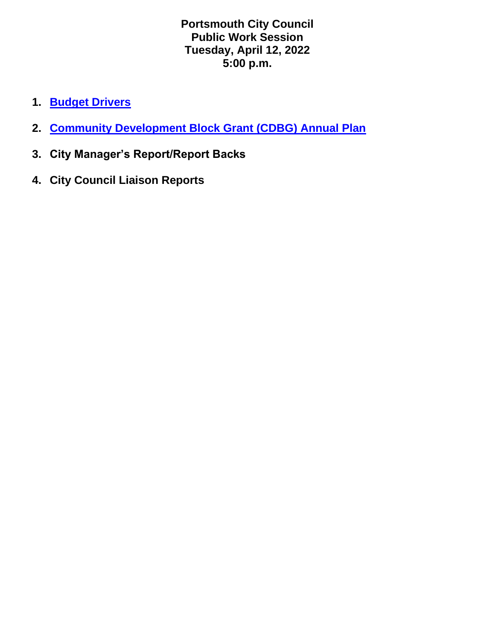**Portsmouth City Council Public Work Session Tuesday, April 12, 2022 5:00 p.m.**

- **1. [Budget Drivers](https://www.portsmouthva.gov/DocumentCenter/View/12242/Budget-Drivers-FY-2023-no-Notes)**
- **2. [Community Development Block Grant \(CDBG\) Annual Plan](https://www.portsmouthva.gov/DocumentCenter/View/12240/CDBG-HOME-4-4-22)**
- **3. City Manager's Report/Report Backs**
- **4. City Council Liaison Reports**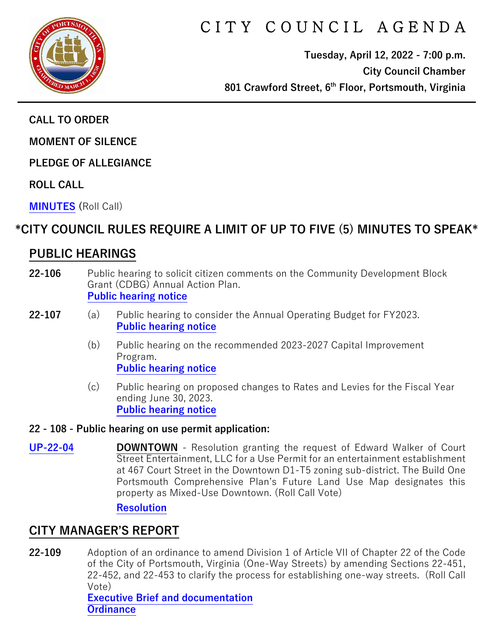

# CITY COUNCIL AGENDA

**Tuesday, April 12, 2022 - 7:00 p.m. City Council Chamber 801 Crawford Street, 6th Floor, Portsmouth, Virginia**

**CALL TO ORDER**

**MOMENT OF SILENCE** 

**PLEDGE OF ALLEGIANCE** 

**ROLL CALL**

**[MINUTES](https://www.portsmouthva.gov/DocumentCenter/View/12210/City-Council-Minutes) (**Roll Call)

# **\*CITY COUNCIL RULES REQUIRE A LIMIT OF UP TO FIVE (5) MINUTES TO SPEAK\***

# **PUBLIC HEARINGS**

- **22-106** Public hearing to solicit citizen comments on the Community Development Block Grant (CDBG) Annual Action Plan. **[Public hearing notice](https://www.portsmouthva.gov/DocumentCenter/View/12211/22-106-CDBG-public-hearing-notice)**
- **22-107** (a) Public hearing to consider the Annual Operating Budget for FY2023. **[Public hearing notice](https://www.portsmouthva.gov/DocumentCenter/View/12212/22-107a-Operating-Budget-public-hearing-notice)**
	- (b) Public hearing on the recommended 2023-2027 Capital Improvement Program. **[Public hearing notice](https://www.portsmouthva.gov/DocumentCenter/View/12213/22-107b-CIP-public-hearing-notice)**
	- (c) Public hearing on proposed changes to Rates and Levies for the Fiscal Year ending June 30, 2023. **[Public hearing notice](https://www.portsmouthva.gov/DocumentCenter/View/12214/22-107c-Rates-and-Levies-public-hearing-notice)**

#### **22 - 108 - Public hearing on use permit application:**

**[UP-22-04](https://www.portsmouthva.gov/DocumentCenter/View/12232/22-108-Public-hearing) DOWNTOWN** - Resolution granting the request of Edward Walker of Court Street Entertainment, LLC for a Use Permit for an entertainment establishment at 467 Court Street in the Downtown D1-T5 zoning sub-district. The Build One Portsmouth Comprehensive Plan's Future Land Use Map designates this property as Mixed-Use Downtown. (Roll Call Vote)

#### **[Resolution](https://www.portsmouthva.gov/DocumentCenter/View/12216/22-108-Resolution)**

## **CITY MANAGER'S REPORT**

**22-109** Adoption of an ordinance to amend Division 1 of Article VII of Chapter 22 of the Code of the City of Portsmouth, Virginia (One-Way Streets) by amending Sections 22-451, 22-452, and 22-453 to clarify the process for establishing one-way streets. (Roll Call Vote)

**[Executive Brief and documentation](https://www.portsmouthva.gov/DocumentCenter/View/12217/22-109-CMR-and-documentation) [Ordinance](https://www.portsmouthva.gov/DocumentCenter/View/12218/22-109-Ordinance)**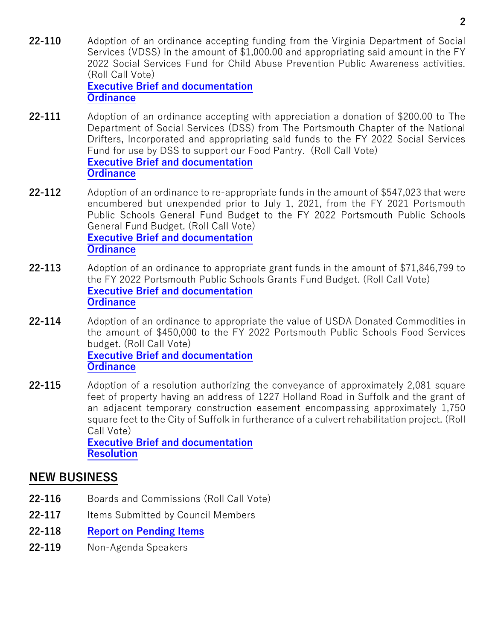- **22-110** Adoption of an ordinance accepting funding from the Virginia Department of Social Services (VDSS) in the amount of \$1,000.00 and appropriating said amount in the FY 2022 Social Services Fund for Child Abuse Prevention Public Awareness activities. (Roll Call Vote) **[Executive Brief and documentation](https://www.portsmouthva.gov/DocumentCenter/View/12219/22-110-CMR-and-documentation) [Ordinance](https://www.portsmouthva.gov/DocumentCenter/View/12220/22-110-Ordinnce)**
- **22-111** Adoption of an ordinance accepting with appreciation a donation of \$200.00 to The Department of Social Services (DSS) from The Portsmouth Chapter of the National Drifters, Incorporated and appropriating said funds to the FY 2022 Social Services Fund for use by DSS to support our Food Pantry. (Roll Call Vote) **[Executive Brief and documentation](https://www.portsmouthva.gov/DocumentCenter/View/12221/22-111-CMR-and-documentation) [Ordinance](https://www.portsmouthva.gov/DocumentCenter/View/12222/22-111-Ordinance)**
- **22-112** Adoption of an ordinance to re-appropriate funds in the amount of \$547,023 that were encumbered but unexpended prior to July 1, 2021, from the FY 2021 Portsmouth Public Schools General Fund Budget to the FY 2022 Portsmouth Public Schools General Fund Budget. (Roll Call Vote) **[Executive Brief and documentation](https://www.portsmouthva.gov/DocumentCenter/View/12223/22-112-CMR-and-documentation) [Ordinance](https://www.portsmouthva.gov/DocumentCenter/View/12224/22-112-Ordinance)**
- **22-113** Adoption of an ordinance to appropriate grant funds in the amount of \$71,846,799 to the FY 2022 Portsmouth Public Schools Grants Fund Budget. (Roll Call Vote) **[Executive Brief and documentation](https://www.portsmouthva.gov/DocumentCenter/View/12225/22-113-CMR-and-documentation) [Ordinance](https://www.portsmouthva.gov/DocumentCenter/View/12226/22-113-Ordinance)**
- **22-114** Adoption of an ordinance to appropriate the value of USDA Donated Commodities in the amount of \$450,000 to the FY 2022 Portsmouth Public Schools Food Services budget. (Roll Call Vote) **[Executive Brief and documentation](https://www.portsmouthva.gov/DocumentCenter/View/12227/22-114-CMR-and-documentation) [Ordinance](https://www.portsmouthva.gov/DocumentCenter/View/12228/22-114-Ordinance)**
- **22-115** Adoption of a resolution authorizing the conveyance of approximately 2,081 square feet of property having an address of 1227 Holland Road in Suffolk and the grant of an adjacent temporary construction easement encompassing approximately 1,750 square feet to the City of Suffolk in furtherance of a culvert rehabilitation project. (Roll Call Vote) **[Executive Brief and documentation](https://www.portsmouthva.gov/DocumentCenter/View/12233/22-115-CMR-and-documentation)**

**[Resolution](https://www.portsmouthva.gov/DocumentCenter/View/12230/22-115-Resolution)**

## **NEW BUSINESS**

- **22-116** Boards and Commissions (Roll Call Vote)
- 22-117 Items Submitted by Council Members
- **22-118 [Report on Pending Items](https://www.portsmouthva.gov/DocumentCenter/View/12229/Non-Agenda-Speakers-Report-Final)**
- **22-119** Non-Agenda Speakers